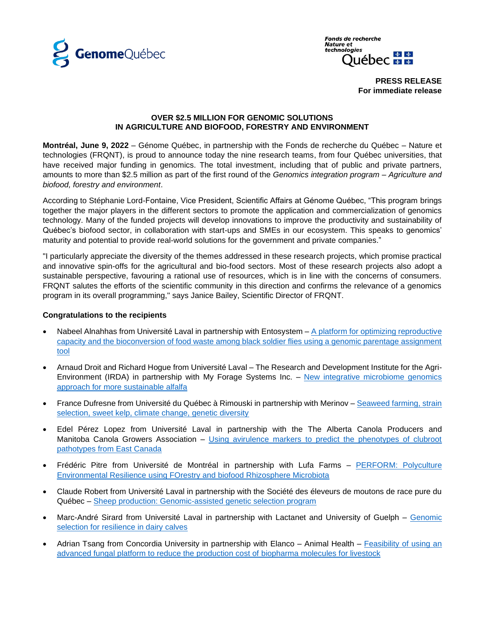

**Fonds de recherche** Nature et technologies ☆ ☆ Québec **™** 

> **PRESS RELEASE For immediate release**

#### **OVER \$2.5 MILLION FOR GENOMIC SOLUTIONS IN AGRICULTURE AND BIOFOOD, FORESTRY AND ENVIRONMENT**

**Montréal, June 9, 2022** – Génome Québec, in partnership with the Fonds de recherche du Québec – Nature et technologies (FRQNT), is proud to announce today the nine research teams, from four Québec universities, that have received major funding in genomics. The total investment, including that of public and private partners, amounts to more than \$2.5 million as part of the first round of the *Genomics integration program – Agriculture and biofood, forestry and environment*.

According to Stéphanie Lord-Fontaine, Vice President, Scientific Affairs at Génome Québec, "This program brings together the major players in the different sectors to promote the application and commercialization of genomics technology. Many of the funded projects will develop innovations to improve the productivity and sustainability of Québec's biofood sector, in collaboration with start-ups and SMEs in our ecosystem. This speaks to genomics' maturity and potential to provide real-world solutions for the government and private companies."

"I particularly appreciate the diversity of the themes addressed in these research projects, which promise practical and innovative spin-offs for the agricultural and bio-food sectors. Most of these research projects also adopt a sustainable perspective, favouring a rational use of resources, which is in line with the concerns of consumers. FRQNT salutes the efforts of the scientific community in this direction and confirms the relevance of a genomics program in its overall programming," says Janice Bailey, Scientific Director of FRQNT.

# **Congratulations to the recipients**

- Nabeel Alnahhas from Université Laval in partnership with Entosystem  $A$  platform for optimizing reproductive [capacity and the bioconversion of food waste among black soldier flies using a genomic parentage assignment](https://www.genomequebec.com/285-en/project/optifly-a-platform-for-optimizing-reproductive-capacity-and-the-bioconversion-of-food-waste-among-black-soldier-flies-using-a-genomic-parentage-assignment-tool/)  [tool](https://www.genomequebec.com/285-en/project/optifly-a-platform-for-optimizing-reproductive-capacity-and-the-bioconversion-of-food-waste-among-black-soldier-flies-using-a-genomic-parentage-assignment-tool/)
- Arnaud Droit and Richard Hogue from Université Laval The Research and Development Institute for the Agri-Environment (IRDA) in partnership with My Forage Systems Inc. – [New integrative microbiome genomics](https://www.genomequebec.com/286-en/project/new-integrative-microbiome-genomics-approach-for-more-sustainable-alfalfa/)  [approach for more sustainable alfalfa](https://www.genomequebec.com/286-en/project/new-integrative-microbiome-genomics-approach-for-more-sustainable-alfalfa/)
- France Dufresne from Université du Québec à Rimouski in partnership with Merinov [Seaweed farming, strain](https://www.genomequebec.com/287-en/project/seaweed-farming-strain-selection-sweet-kelp-climate-change-genetic-diversity/)  [selection, sweet kelp, climate change, genetic diversity](https://www.genomequebec.com/287-en/project/seaweed-farming-strain-selection-sweet-kelp-climate-change-genetic-diversity/)
- Edel Pérez Lopez from Université Laval in partnership with the The Alberta Canola Producers and Manitoba Canola Growers Association – Using avirulence markers to predict the phenotypes of clubroot [pathotypes from East Canada](https://www.genomequebec.com/288-en/project/using-avirulence-markers-to-predict-the-phenotypes-of-clubroot-pathotypes-from-east-canada/)
- Frédéric Pitre from Université de Montréal in partnership with Lufa Farms PERFORM: Polyculture [Environmental Resilience using FOrestry and biofood Rhizosphere Microbiota](https://www.genomequebec.com/289-en/project/perform-polyculture-environmental-resilience-using-forestry-and-biofood-rhizosphere-microbiota/)
- Claude Robert from Université Laval in partnership with the Société des éleveurs de moutons de race pure du Québec – [Sheep production: Genomic-assisted genetic selection program](https://www.genomequebec.com/291-en/project/sheep-production-genomic-assisted-genetic-selection-program/)
- Marc-André Sirard from Université Laval in partnership with Lactanet and University of Guelph Genomic [selection for resilience in dairy calves](https://www.genomequebec.com/292-en/project/genomic-selection-for-resilience-in-dairy-calves/)
- Adrian Tsang from Concordia University in partnership with Elanco Animal Health Feasibility of using an [advanced fungal platform to reduce the production cost of](https://www.genomequebec.com/293-en/project/feasibility-of-using-an-advanced-fungal-platform-to-reduce-the-production-cost-of-biopharma-molecules-for-livestock/) biopharma molecules for livestock